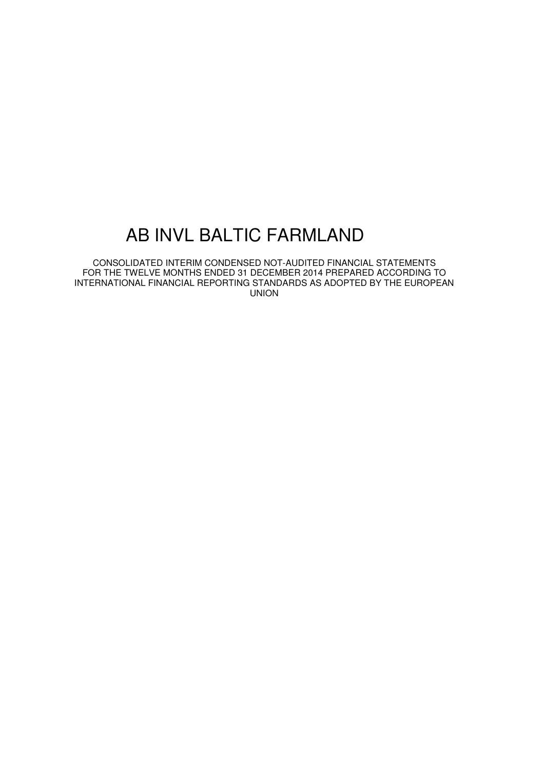CONSOLIDATED INTERIM CONDENSED NOT-AUDITED FINANCIAL STATEMENTS FOR THE TWELVE MONTHS ENDED 31 DECEMBER 2014 PREPARED ACCORDING TO INTERNATIONAL FINANCIAL REPORTING STANDARDS AS ADOPTED BY THE EUROPEAN UNION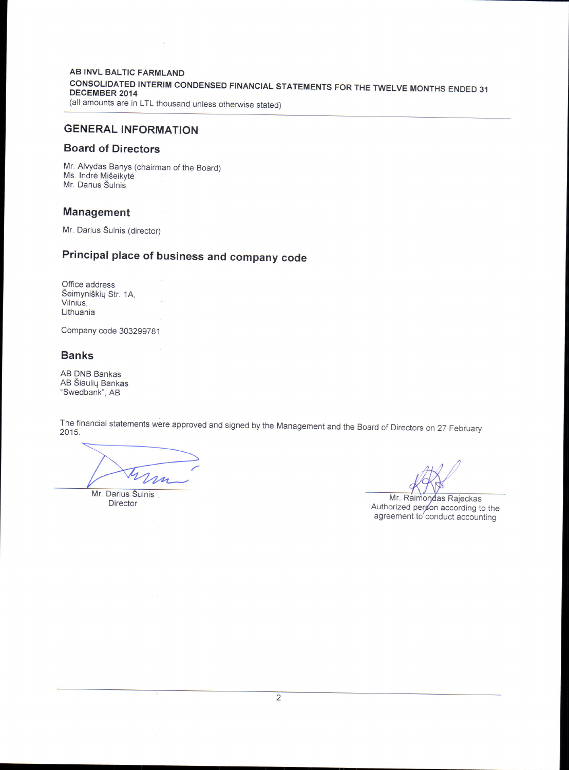**AB INVL BALTIC FARMLAND** CONSOLIDATED INTERIM CONDENSED FINANCIAL STATEMENTS FOR THE TWELVE MONTHS ENDED 31<br>DECEMBER 2014 (all amounts are in LTL thousand unless otherwise stated)

# GENERAL INFORMATION

# Board of Directors

Mr. Alvydas Banys (chairman of the Board) Ms. Indrė Mišeikytė Mr. Darius Šulnis

# Management

Mr. Darius Šulnis (director)

# Principal place of business and company code

Office address Šeimyniškių Str. 1A, Vilnius, Lithuania

Company code 303299781

# Banks

AB DNB Bankas AB Siauliq Bankas "Swedbank", AB

The financial statements were approved and signed by the Management and the Board of Directors on 27 February

m

Mr. Darius Šulnis Director

Mr. Raimondas Rajeckas<br>Authorized person according to the agreement to conduct accounting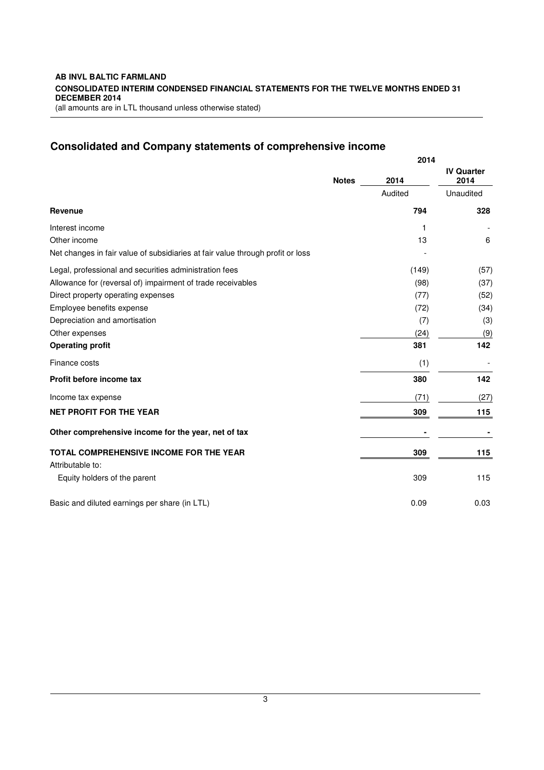# **Consolidated and Company statements of comprehensive income**

|                                                                                |              | 2014           |                           |
|--------------------------------------------------------------------------------|--------------|----------------|---------------------------|
|                                                                                | <b>Notes</b> | 2014           | <b>IV Quarter</b><br>2014 |
|                                                                                |              | Audited        | Unaudited                 |
| Revenue                                                                        |              | 794            | 328                       |
| Interest income                                                                |              | $\mathbf{1}$   |                           |
| Other income                                                                   |              | 13             | 6                         |
| Net changes in fair value of subsidiaries at fair value through profit or loss |              |                |                           |
| Legal, professional and securities administration fees                         |              | (149)          | (57)                      |
| Allowance for (reversal of) impairment of trade receivables                    |              | (98)           | (37)                      |
| Direct property operating expenses                                             |              | (77)           | (52)                      |
| Employee benefits expense                                                      |              | (72)           | (34)                      |
| Depreciation and amortisation                                                  |              | (7)            | (3)                       |
| Other expenses                                                                 |              | (24)           | (9)                       |
| <b>Operating profit</b>                                                        |              | 381            | 142                       |
| Finance costs                                                                  |              | (1)            |                           |
| Profit before income tax                                                       |              | 380            | 142                       |
| Income tax expense                                                             |              | (71)           | (27)                      |
| <b>NET PROFIT FOR THE YEAR</b>                                                 |              | 309            | 115                       |
| Other comprehensive income for the year, net of tax                            |              | $\blacksquare$ |                           |
| <b>TOTAL COMPREHENSIVE INCOME FOR THE YEAR</b>                                 |              | 309            | 115                       |
| Attributable to:                                                               |              |                |                           |
| Equity holders of the parent                                                   |              | 309            | 115                       |
| Basic and diluted earnings per share (in LTL)                                  |              | 0.09           | 0.03                      |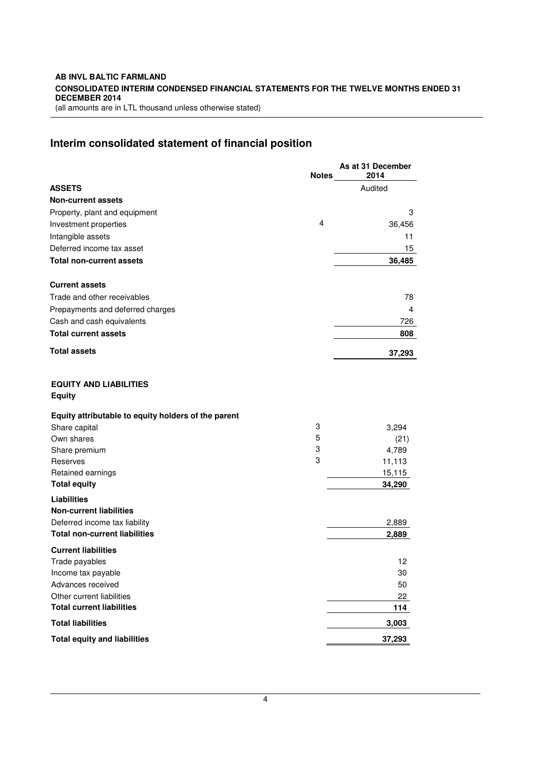# **Interim consolidated statement of financial position**

|                                                               | <b>Notes</b> | As at 31 December<br>2014 |
|---------------------------------------------------------------|--------------|---------------------------|
| <b>ASSETS</b>                                                 |              | Audited                   |
| <b>Non-current assets</b>                                     |              |                           |
| Property, plant and equipment                                 |              | 3                         |
| Investment properties                                         | 4            | 36,456                    |
| Intangible assets                                             |              | 11                        |
| Deferred income tax asset                                     |              | 15                        |
| <b>Total non-current assets</b>                               |              | 36,485                    |
| <b>Current assets</b>                                         |              |                           |
| Trade and other receivables                                   |              | 78                        |
| Prepayments and deferred charges                              |              | 4                         |
| Cash and cash equivalents                                     |              | 726                       |
| <b>Total current assets</b>                                   |              | 808                       |
| <b>Total assets</b>                                           |              | 37,293                    |
| <b>EQUITY AND LIABILITIES</b><br><b>Equity</b>                |              |                           |
| Equity attributable to equity holders of the parent           |              |                           |
| Share capital                                                 | 3            | 3,294                     |
| Own shares                                                    | 5            | (21)                      |
| Share premium                                                 | 3            | 4,789                     |
| Reserves                                                      | 3            | 11,113                    |
| Retained earnings<br><b>Total equity</b>                      |              | 15,115<br>34,290          |
| <b>Liabilities</b>                                            |              |                           |
| <b>Non-current liabilities</b>                                |              |                           |
| Deferred income tax liability                                 |              | 2,889                     |
| <b>Total non-current liabilities</b>                          |              | 2,889                     |
| <b>Current liabilities</b>                                    |              |                           |
| Trade payables                                                |              | 12                        |
| Income tax payable                                            |              | 30                        |
| Advances received                                             |              | 50                        |
| Other current liabilities<br><b>Total current liabilities</b> |              | 22<br>114                 |
| <b>Total liabilities</b>                                      |              | 3,003                     |
| <b>Total equity and liabilities</b>                           |              | 37,293                    |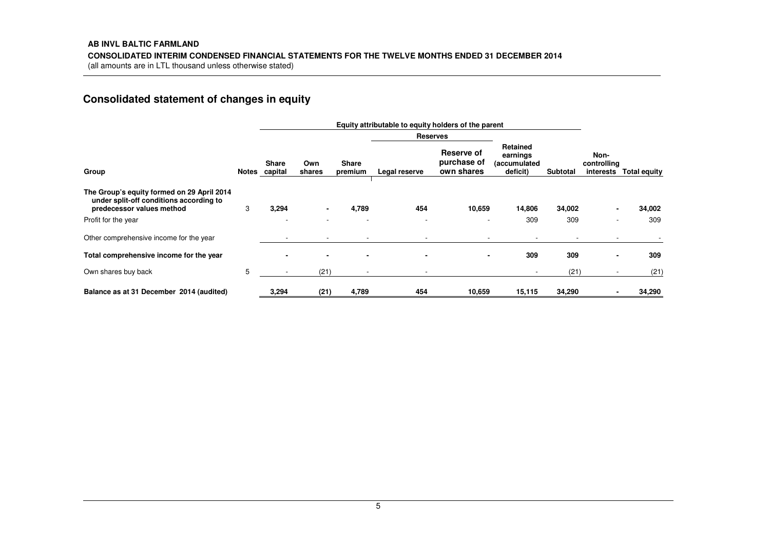# **Consolidated statement of changes in equity**

|                                                                                                                    |   | Equity attributable to equity holders of the parent |                |                          |                 |                                         |                                                  |          |                     |                        |
|--------------------------------------------------------------------------------------------------------------------|---|-----------------------------------------------------|----------------|--------------------------|-----------------|-----------------------------------------|--------------------------------------------------|----------|---------------------|------------------------|
|                                                                                                                    |   |                                                     |                |                          | <b>Reserves</b> |                                         |                                                  |          |                     |                        |
| Group                                                                                                              |   | Share<br>Notes capital                              | Own<br>shares  | <b>Share</b><br>premium  | Legal reserve   | Reserve of<br>purchase of<br>own shares | Retained<br>earnings<br>(accumulated<br>deficit) | Subtotal | Non-<br>controlling | interests Total equity |
| The Group's equity formed on 29 April 2014<br>under split-off conditions according to<br>predecessor values method | 3 | 3,294                                               | $\blacksquare$ | 4,789                    | 454             | 10,659                                  | 14,806                                           | 34,002   | $\blacksquare$      | 34,002                 |
| Profit for the year                                                                                                |   |                                                     |                |                          |                 |                                         | 309                                              | 309      |                     | 309                    |
| Other comprehensive income for the year                                                                            |   |                                                     |                |                          |                 |                                         |                                                  |          |                     |                        |
| Total comprehensive income for the year                                                                            |   |                                                     | $\blacksquare$ | $\overline{\phantom{0}}$ |                 | $\blacksquare$                          | 309                                              | 309      |                     | 309                    |
| Own shares buy back                                                                                                | 5 | $\overline{\phantom{a}}$                            | (21)           |                          | $\blacksquare$  |                                         | $\sim$                                           | (21)     |                     | (21)                   |
| Balance as at 31 December 2014 (audited)                                                                           |   | 3,294                                               | (21)           | 4,789                    | 454             | 10,659                                  | 15,115                                           | 34,290   |                     | 34,290                 |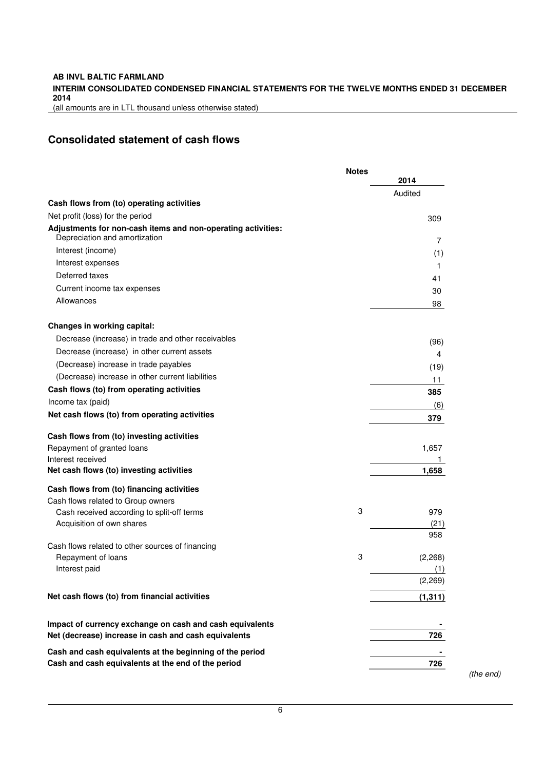# **INTERIM CONSOLIDATED CONDENSED FINANCIAL STATEMENTS FOR THE TWELVE MONTHS ENDED 31 DECEMBER 2014**

(all amounts are in LTL thousand unless otherwise stated)

# **Consolidated statement of cash flows**

|                                                                                                                  | <b>Notes</b> |             |
|------------------------------------------------------------------------------------------------------------------|--------------|-------------|
|                                                                                                                  |              | 2014        |
| Cash flows from (to) operating activities                                                                        |              | Audited     |
| Net profit (loss) for the period                                                                                 |              |             |
| Adjustments for non-cash items and non-operating activities:                                                     |              | 309         |
| Depreciation and amortization                                                                                    |              | 7           |
| Interest (income)                                                                                                |              | (1)         |
| Interest expenses                                                                                                |              | 1           |
| Deferred taxes                                                                                                   |              | 41          |
| Current income tax expenses                                                                                      |              | 30          |
| Allowances                                                                                                       |              | 98          |
| <b>Changes in working capital:</b>                                                                               |              |             |
| Decrease (increase) in trade and other receivables                                                               |              | (96)        |
| Decrease (increase) in other current assets                                                                      |              | 4           |
| (Decrease) increase in trade payables                                                                            |              | (19)        |
| (Decrease) increase in other current liabilities                                                                 |              | 11          |
| Cash flows (to) from operating activities                                                                        |              | 385         |
| Income tax (paid)                                                                                                |              |             |
| Net cash flows (to) from operating activities                                                                    |              | (6)<br>379  |
| Cash flows from (to) investing activities                                                                        |              |             |
| Repayment of granted loans                                                                                       |              | 1,657       |
| Interest received                                                                                                |              |             |
| Net cash flows (to) investing activities                                                                         |              | 1,658       |
| Cash flows from (to) financing activities                                                                        |              |             |
| Cash flows related to Group owners                                                                               |              |             |
| Cash received according to split-off terms                                                                       | 3            | 979         |
| Acquisition of own shares                                                                                        |              | (21)<br>958 |
| Cash flows related to other sources of financing                                                                 |              |             |
| Repayment of loans                                                                                               | 3            | (2,268)     |
| Interest paid                                                                                                    |              | (1)         |
|                                                                                                                  |              | (2, 269)    |
| Net cash flows (to) from financial activities                                                                    |              | (1, 311)    |
|                                                                                                                  |              |             |
| Impact of currency exchange on cash and cash equivalents<br>Net (decrease) increase in cash and cash equivalents |              | 726         |
|                                                                                                                  |              |             |
| Cash and cash equivalents at the beginning of the period<br>Cash and cash equivalents at the end of the period   |              | 726         |
|                                                                                                                  |              |             |

(the end)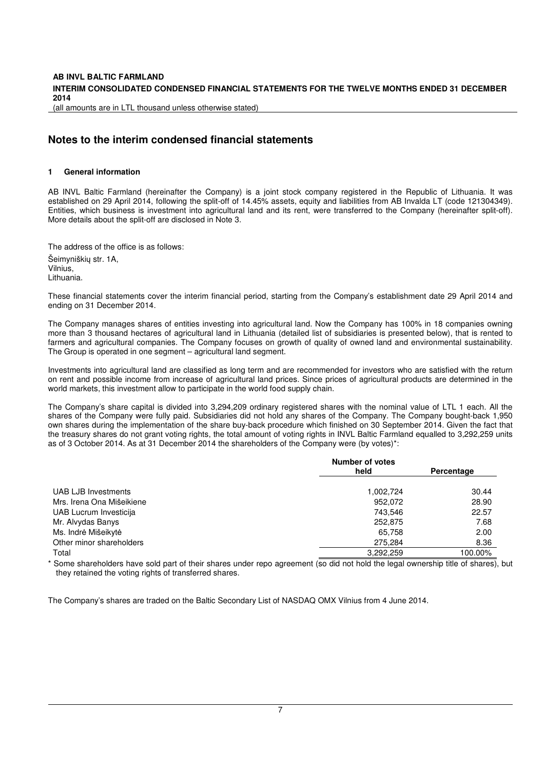(all amounts are in LTL thousand unless otherwise stated)

# **Notes to the interim condensed financial statements**

# **1 General information**

AB INVL Baltic Farmland (hereinafter the Company) is a joint stock company registered in the Republic of Lithuania. It was established on 29 April 2014, following the split-off of 14.45% assets, equity and liabilities from AB Invalda LT (code 121304349). Entities, which business is investment into agricultural land and its rent, were transferred to the Company (hereinafter split-off). More details about the split-off are disclosed in Note 3.

The address of the office is as follows: Šeimyniškių str. 1A, Vilnius, Lithuania.

These financial statements cover the interim financial period, starting from the Company's establishment date 29 April 2014 and ending on 31 December 2014.

The Company manages shares of entities investing into agricultural land. Now the Company has 100% in 18 companies owning more than 3 thousand hectares of agricultural land in Lithuania (detailed list of subsidiaries is presented below), that is rented to farmers and agricultural companies. The Company focuses on growth of quality of owned land and environmental sustainability. The Group is operated in one segment – agricultural land segment.

Investments into agricultural land are classified as long term and are recommended for investors who are satisfied with the return on rent and possible income from increase of agricultural land prices. Since prices of agricultural products are determined in the world markets, this investment allow to participate in the world food supply chain.

The Company's share capital is divided into 3,294,209 ordinary registered shares with the nominal value of LTL 1 each. All the shares of the Company were fully paid. Subsidiaries did not hold any shares of the Company. The Company bought-back 1,950 own shares during the implementation of the share buy-back procedure which finished on 30 September 2014. Given the fact that the treasury shares do not grant voting rights, the total amount of voting rights in INVL Baltic Farmland equalled to 3,292,259 units as of 3 October 2014. As at 31 December 2014 the shareholders of the Company were (by votes)\*:

|                           | <b>Number of votes</b> |            |  |
|---------------------------|------------------------|------------|--|
|                           | held                   | Percentage |  |
| UAB LJB Investments       | 1,002,724              | 30.44      |  |
| Mrs. Irena Ona Mišeikiene | 952,072                | 28.90      |  |
| UAB Lucrum Investicija    | 743,546                | 22.57      |  |
| Mr. Alvydas Banys         | 252,875                | 7.68       |  |
| Ms. Indrė Mišeikytė       | 65,758                 | 2.00       |  |
| Other minor shareholders  | 275,284                | 8.36       |  |
| Total                     | 3,292,259              | 100.00%    |  |

Some shareholders have sold part of their shares under repo agreement (so did not hold the legal ownership title of shares), but they retained the voting rights of transferred shares.

The Company's shares are traded on the Baltic Secondary List of NASDAQ OMX Vilnius from 4 June 2014.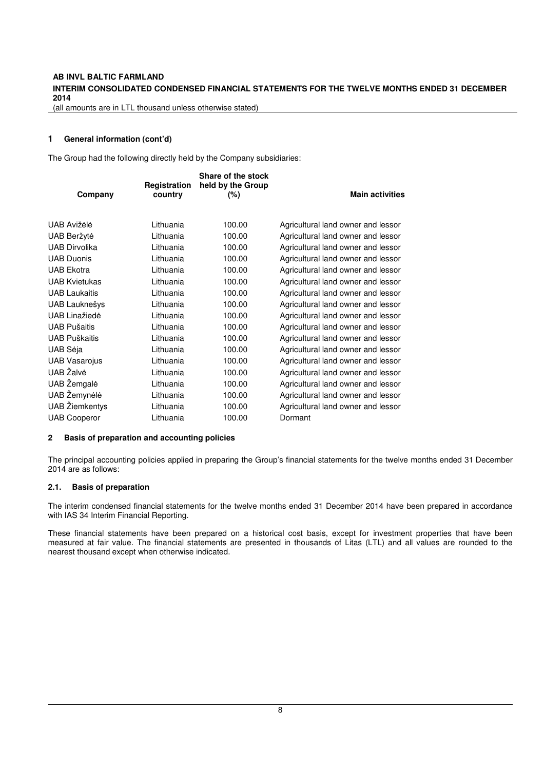(all amounts are in LTL thousand unless otherwise stated)

# **1 General information (cont'd)**

The Group had the following directly held by the Company subsidiaries:

|                       | Registration | Share of the stock<br>held by the Group |                                    |
|-----------------------|--------------|-----------------------------------------|------------------------------------|
| Company               | country      | (%)                                     | <b>Main activities</b>             |
| UAB Avižėlė           | Lithuania    | 100.00                                  | Agricultural land owner and lessor |
| UAB Beržytė           | Lithuania    | 100.00                                  | Agricultural land owner and lessor |
| <b>UAB Dirvolika</b>  | Lithuania    | 100.00                                  | Agricultural land owner and lessor |
| <b>UAB Duonis</b>     | Lithuania    | 100.00                                  | Agricultural land owner and lessor |
| <b>UAB Ekotra</b>     | Lithuania    | 100.00                                  | Agricultural land owner and lessor |
| <b>UAB Kvietukas</b>  | Lithuania    | 100.00                                  | Agricultural land owner and lessor |
| <b>UAB Laukaitis</b>  | Lithuania    | 100.00                                  | Agricultural land owner and lessor |
| UAB Lauknešys         | Lithuania    | 100.00                                  | Agricultural land owner and lessor |
| <b>UAB Linažiedė</b>  | Lithuania    | 100.00                                  | Agricultural land owner and lessor |
| <b>UAB Pušaitis</b>   | Lithuania    | 100.00                                  | Agricultural land owner and lessor |
| <b>UAB Puškaitis</b>  | Lithuania    | 100.00                                  | Agricultural land owner and lessor |
| UAB Sėja              | Lithuania    | 100.00                                  | Agricultural land owner and lessor |
| <b>UAB Vasarojus</b>  | Lithuania    | 100.00                                  | Agricultural land owner and lessor |
| UAB Žalvė             | Lithuania    | 100.00                                  | Agricultural land owner and lessor |
| UAB Žemgalė           | Lithuania    | 100.00                                  | Agricultural land owner and lessor |
| UAB Žemynėlė          | Lithuania    | 100.00                                  | Agricultural land owner and lessor |
| <b>UAB</b> Žiemkentys | Lithuania    | 100.00                                  | Agricultural land owner and lessor |
| <b>UAB Cooperor</b>   | Lithuania    | 100.00                                  | Dormant                            |

#### **2 Basis of preparation and accounting policies**

The principal accounting policies applied in preparing the Group's financial statements for the twelve months ended 31 December 2014 are as follows:

#### **2.1. Basis of preparation**

The interim condensed financial statements for the twelve months ended 31 December 2014 have been prepared in accordance with IAS 34 Interim Financial Reporting.

These financial statements have been prepared on a historical cost basis, except for investment properties that have been measured at fair value. The financial statements are presented in thousands of Litas (LTL) and all values are rounded to the nearest thousand except when otherwise indicated.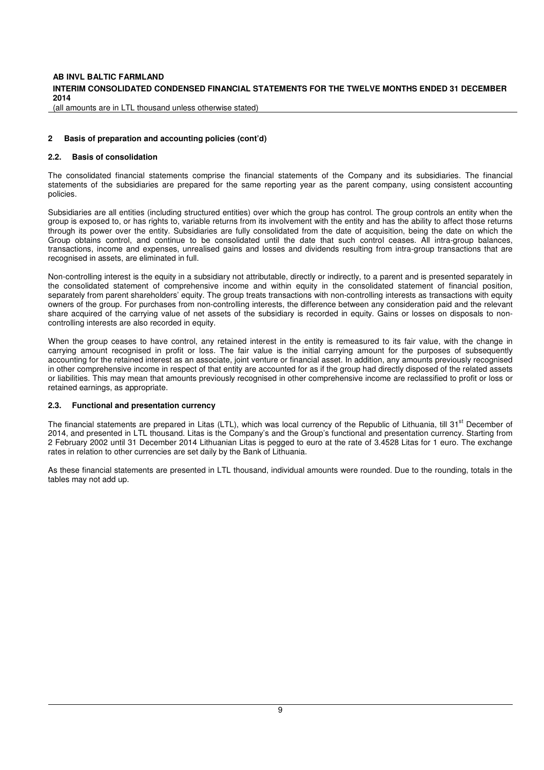# **INTERIM CONSOLIDATED CONDENSED FINANCIAL STATEMENTS FOR THE TWELVE MONTHS ENDED 31 DECEMBER 2014**

(all amounts are in LTL thousand unless otherwise stated)

#### **2 Basis of preparation and accounting policies (cont'd)**

#### **2.2. Basis of consolidation**

The consolidated financial statements comprise the financial statements of the Company and its subsidiaries. The financial statements of the subsidiaries are prepared for the same reporting year as the parent company, using consistent accounting policies.

Subsidiaries are all entities (including structured entities) over which the group has control. The group controls an entity when the group is exposed to, or has rights to, variable returns from its involvement with the entity and has the ability to affect those returns through its power over the entity. Subsidiaries are fully consolidated from the date of acquisition, being the date on which the Group obtains control, and continue to be consolidated until the date that such control ceases. All intra-group balances, transactions, income and expenses, unrealised gains and losses and dividends resulting from intra-group transactions that are recognised in assets, are eliminated in full.

Non-controlling interest is the equity in a subsidiary not attributable, directly or indirectly, to a parent and is presented separately in the consolidated statement of comprehensive income and within equity in the consolidated statement of financial position, separately from parent shareholders' equity. The group treats transactions with non-controlling interests as transactions with equity owners of the group. For purchases from non-controlling interests, the difference between any consideration paid and the relevant share acquired of the carrying value of net assets of the subsidiary is recorded in equity. Gains or losses on disposals to noncontrolling interests are also recorded in equity.

When the group ceases to have control, any retained interest in the entity is remeasured to its fair value, with the change in carrying amount recognised in profit or loss. The fair value is the initial carrying amount for the purposes of subsequently accounting for the retained interest as an associate, joint venture or financial asset. In addition, any amounts previously recognised in other comprehensive income in respect of that entity are accounted for as if the group had directly disposed of the related assets or liabilities. This may mean that amounts previously recognised in other comprehensive income are reclassified to profit or loss or retained earnings, as appropriate.

### **2.3. Functional and presentation currency**

The financial statements are prepared in Litas (LTL), which was local currency of the Republic of Lithuania, till 31<sup>st</sup> December of 2014, and presented in LTL thousand. Litas is the Company's and the Group's functional and presentation currency. Starting from 2 February 2002 until 31 December 2014 Lithuanian Litas is pegged to euro at the rate of 3.4528 Litas for 1 euro. The exchange rates in relation to other currencies are set daily by the Bank of Lithuania.

As these financial statements are presented in LTL thousand, individual amounts were rounded. Due to the rounding, totals in the tables may not add up.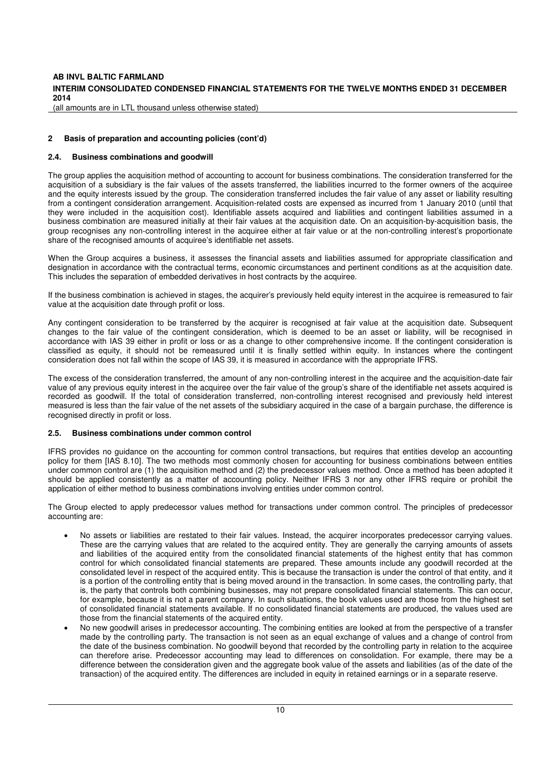# **INTERIM CONSOLIDATED CONDENSED FINANCIAL STATEMENTS FOR THE TWELVE MONTHS ENDED 31 DECEMBER 2014**

(all amounts are in LTL thousand unless otherwise stated)

#### **2 Basis of preparation and accounting policies (cont'd)**

#### **2.4. Business combinations and goodwill**

The group applies the acquisition method of accounting to account for business combinations. The consideration transferred for the acquisition of a subsidiary is the fair values of the assets transferred, the liabilities incurred to the former owners of the acquiree and the equity interests issued by the group. The consideration transferred includes the fair value of any asset or liability resulting from a contingent consideration arrangement. Acquisition-related costs are expensed as incurred from 1 January 2010 (until that they were included in the acquisition cost). Identifiable assets acquired and liabilities and contingent liabilities assumed in a business combination are measured initially at their fair values at the acquisition date. On an acquisition-by-acquisition basis, the group recognises any non-controlling interest in the acquiree either at fair value or at the non-controlling interest's proportionate share of the recognised amounts of acquiree's identifiable net assets.

When the Group acquires a business, it assesses the financial assets and liabilities assumed for appropriate classification and designation in accordance with the contractual terms, economic circumstances and pertinent conditions as at the acquisition date. This includes the separation of embedded derivatives in host contracts by the acquiree.

If the business combination is achieved in stages, the acquirer's previously held equity interest in the acquiree is remeasured to fair value at the acquisition date through profit or loss.

Any contingent consideration to be transferred by the acquirer is recognised at fair value at the acquisition date. Subsequent changes to the fair value of the contingent consideration, which is deemed to be an asset or liability, will be recognised in accordance with IAS 39 either in profit or loss or as a change to other comprehensive income. If the contingent consideration is classified as equity, it should not be remeasured until it is finally settled within equity. In instances where the contingent consideration does not fall within the scope of IAS 39, it is measured in accordance with the appropriate IFRS.

The excess of the consideration transferred, the amount of any non-controlling interest in the acquiree and the acquisition-date fair value of any previous equity interest in the acquiree over the fair value of the group's share of the identifiable net assets acquired is recorded as goodwill. If the total of consideration transferred, non-controlling interest recognised and previously held interest measured is less than the fair value of the net assets of the subsidiary acquired in the case of a bargain purchase, the difference is recognised directly in profit or loss.

#### **2.5. Business combinations under common control**

IFRS provides no guidance on the accounting for common control transactions, but requires that entities develop an accounting policy for them [IAS 8.10]. The two methods most commonly chosen for accounting for business combinations between entities under common control are (1) the acquisition method and (2) the predecessor values method. Once a method has been adopted it should be applied consistently as a matter of accounting policy. Neither IFRS 3 nor any other IFRS require or prohibit the application of either method to business combinations involving entities under common control.

The Group elected to apply predecessor values method for transactions under common control. The principles of predecessor accounting are:

- No assets or liabilities are restated to their fair values. Instead, the acquirer incorporates predecessor carrying values. These are the carrying values that are related to the acquired entity. They are generally the carrying amounts of assets and liabilities of the acquired entity from the consolidated financial statements of the highest entity that has common control for which consolidated financial statements are prepared. These amounts include any goodwill recorded at the consolidated level in respect of the acquired entity. This is because the transaction is under the control of that entity, and it is a portion of the controlling entity that is being moved around in the transaction. In some cases, the controlling party, that is, the party that controls both combining businesses, may not prepare consolidated financial statements. This can occur, for example, because it is not a parent company. In such situations, the book values used are those from the highest set of consolidated financial statements available. If no consolidated financial statements are produced, the values used are those from the financial statements of the acquired entity.
- No new goodwill arises in predecessor accounting. The combining entities are looked at from the perspective of a transfer made by the controlling party. The transaction is not seen as an equal exchange of values and a change of control from the date of the business combination. No goodwill beyond that recorded by the controlling party in relation to the acquiree can therefore arise. Predecessor accounting may lead to differences on consolidation. For example, there may be a difference between the consideration given and the aggregate book value of the assets and liabilities (as of the date of the transaction) of the acquired entity. The differences are included in equity in retained earnings or in a separate reserve.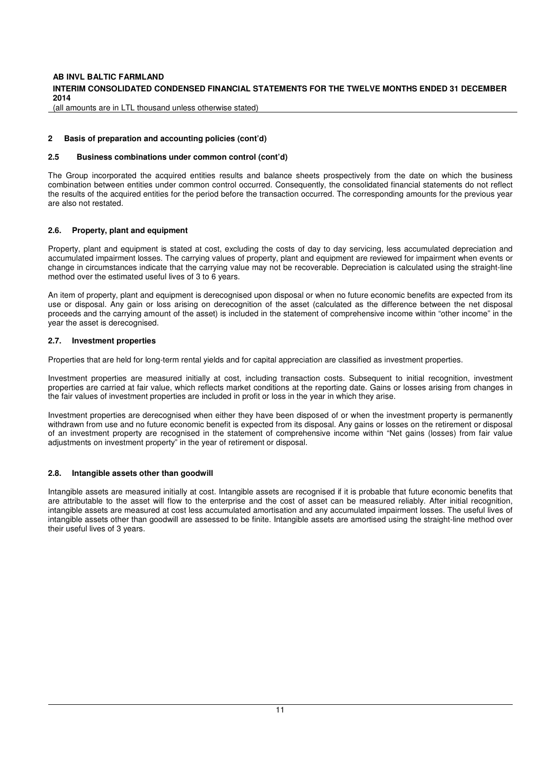# **INTERIM CONSOLIDATED CONDENSED FINANCIAL STATEMENTS FOR THE TWELVE MONTHS ENDED 31 DECEMBER 2014**

(all amounts are in LTL thousand unless otherwise stated)

#### **2 Basis of preparation and accounting policies (cont'd)**

#### **2.5 Business combinations under common control (cont'd)**

The Group incorporated the acquired entities results and balance sheets prospectively from the date on which the business combination between entities under common control occurred. Consequently, the consolidated financial statements do not reflect the results of the acquired entities for the period before the transaction occurred. The corresponding amounts for the previous year are also not restated.

# **2.6. Property, plant and equipment**

Property, plant and equipment is stated at cost, excluding the costs of day to day servicing, less accumulated depreciation and accumulated impairment losses. The carrying values of property, plant and equipment are reviewed for impairment when events or change in circumstances indicate that the carrying value may not be recoverable. Depreciation is calculated using the straight-line method over the estimated useful lives of 3 to 6 years.

An item of property, plant and equipment is derecognised upon disposal or when no future economic benefits are expected from its use or disposal. Any gain or loss arising on derecognition of the asset (calculated as the difference between the net disposal proceeds and the carrying amount of the asset) is included in the statement of comprehensive income within "other income" in the year the asset is derecognised.

#### **2.7. Investment properties**

Properties that are held for long-term rental yields and for capital appreciation are classified as investment properties.

Investment properties are measured initially at cost, including transaction costs. Subsequent to initial recognition, investment properties are carried at fair value, which reflects market conditions at the reporting date. Gains or losses arising from changes in the fair values of investment properties are included in profit or loss in the year in which they arise.

Investment properties are derecognised when either they have been disposed of or when the investment property is permanently withdrawn from use and no future economic benefit is expected from its disposal. Any gains or losses on the retirement or disposal of an investment property are recognised in the statement of comprehensive income within "Net gains (losses) from fair value adjustments on investment property" in the year of retirement or disposal.

#### **2.8. Intangible assets other than goodwill**

Intangible assets are measured initially at cost. Intangible assets are recognised if it is probable that future economic benefits that are attributable to the asset will flow to the enterprise and the cost of asset can be measured reliably. After initial recognition, intangible assets are measured at cost less accumulated amortisation and any accumulated impairment losses. The useful lives of intangible assets other than goodwill are assessed to be finite. Intangible assets are amortised using the straight-line method over their useful lives of 3 years.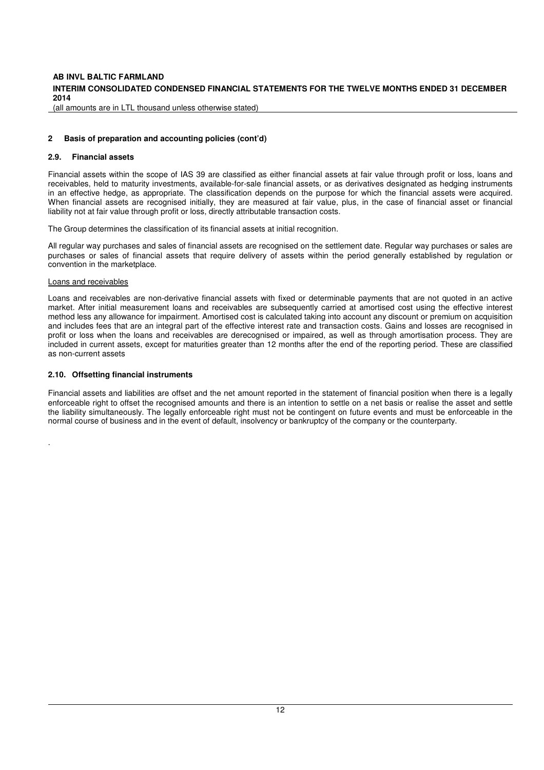### **INTERIM CONSOLIDATED CONDENSED FINANCIAL STATEMENTS FOR THE TWELVE MONTHS ENDED 31 DECEMBER 2014**

(all amounts are in LTL thousand unless otherwise stated)

#### **2 Basis of preparation and accounting policies (cont'd)**

#### **2.9. Financial assets**

Financial assets within the scope of IAS 39 are classified as either financial assets at fair value through profit or loss, loans and receivables, held to maturity investments, available-for-sale financial assets, or as derivatives designated as hedging instruments in an effective hedge, as appropriate. The classification depends on the purpose for which the financial assets were acquired. When financial assets are recognised initially, they are measured at fair value, plus, in the case of financial asset or financial liability not at fair value through profit or loss, directly attributable transaction costs.

The Group determines the classification of its financial assets at initial recognition.

All regular way purchases and sales of financial assets are recognised on the settlement date. Regular way purchases or sales are purchases or sales of financial assets that require delivery of assets within the period generally established by regulation or convention in the marketplace.

#### Loans and receivables

.

Loans and receivables are non-derivative financial assets with fixed or determinable payments that are not quoted in an active market. After initial measurement loans and receivables are subsequently carried at amortised cost using the effective interest method less any allowance for impairment. Amortised cost is calculated taking into account any discount or premium on acquisition and includes fees that are an integral part of the effective interest rate and transaction costs. Gains and losses are recognised in profit or loss when the loans and receivables are derecognised or impaired, as well as through amortisation process. They are included in current assets, except for maturities greater than 12 months after the end of the reporting period. These are classified as non-current assets

#### **2.10. Offsetting financial instruments**

Financial assets and liabilities are offset and the net amount reported in the statement of financial position when there is a legally enforceable right to offset the recognised amounts and there is an intention to settle on a net basis or realise the asset and settle the liability simultaneously. The legally enforceable right must not be contingent on future events and must be enforceable in the normal course of business and in the event of default, insolvency or bankruptcy of the company or the counterparty.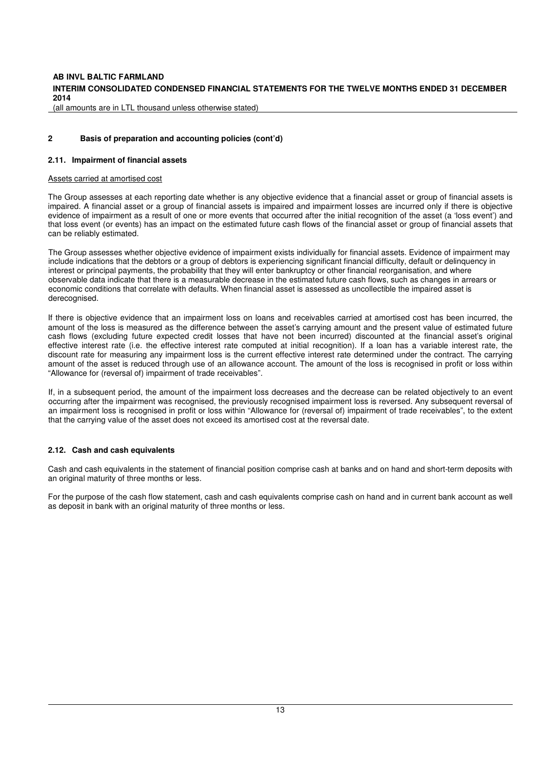# **INTERIM CONSOLIDATED CONDENSED FINANCIAL STATEMENTS FOR THE TWELVE MONTHS ENDED 31 DECEMBER 2014**

(all amounts are in LTL thousand unless otherwise stated)

#### **2 Basis of preparation and accounting policies (cont'd)**

#### **2.11. Impairment of financial assets**

#### Assets carried at amortised cost

The Group assesses at each reporting date whether is any objective evidence that a financial asset or group of financial assets is impaired. A financial asset or a group of financial assets is impaired and impairment losses are incurred only if there is objective evidence of impairment as a result of one or more events that occurred after the initial recognition of the asset (a 'loss event') and that loss event (or events) has an impact on the estimated future cash flows of the financial asset or group of financial assets that can be reliably estimated.

The Group assesses whether objective evidence of impairment exists individually for financial assets. Evidence of impairment may include indications that the debtors or a group of debtors is experiencing significant financial difficulty, default or delinquency in interest or principal payments, the probability that they will enter bankruptcy or other financial reorganisation, and where observable data indicate that there is a measurable decrease in the estimated future cash flows, such as changes in arrears or economic conditions that correlate with defaults. When financial asset is assessed as uncollectible the impaired asset is derecognised.

If there is objective evidence that an impairment loss on loans and receivables carried at amortised cost has been incurred, the amount of the loss is measured as the difference between the asset's carrying amount and the present value of estimated future cash flows (excluding future expected credit losses that have not been incurred) discounted at the financial asset's original effective interest rate (i.e. the effective interest rate computed at initial recognition). If a loan has a variable interest rate, the discount rate for measuring any impairment loss is the current effective interest rate determined under the contract. The carrying amount of the asset is reduced through use of an allowance account. The amount of the loss is recognised in profit or loss within "Allowance for (reversal of) impairment of trade receivables".

If, in a subsequent period, the amount of the impairment loss decreases and the decrease can be related objectively to an event occurring after the impairment was recognised, the previously recognised impairment loss is reversed. Any subsequent reversal of an impairment loss is recognised in profit or loss within "Allowance for (reversal of) impairment of trade receivables", to the extent that the carrying value of the asset does not exceed its amortised cost at the reversal date.

#### **2.12. Cash and cash equivalents**

Cash and cash equivalents in the statement of financial position comprise cash at banks and on hand and short-term deposits with an original maturity of three months or less.

For the purpose of the cash flow statement, cash and cash equivalents comprise cash on hand and in current bank account as well as deposit in bank with an original maturity of three months or less.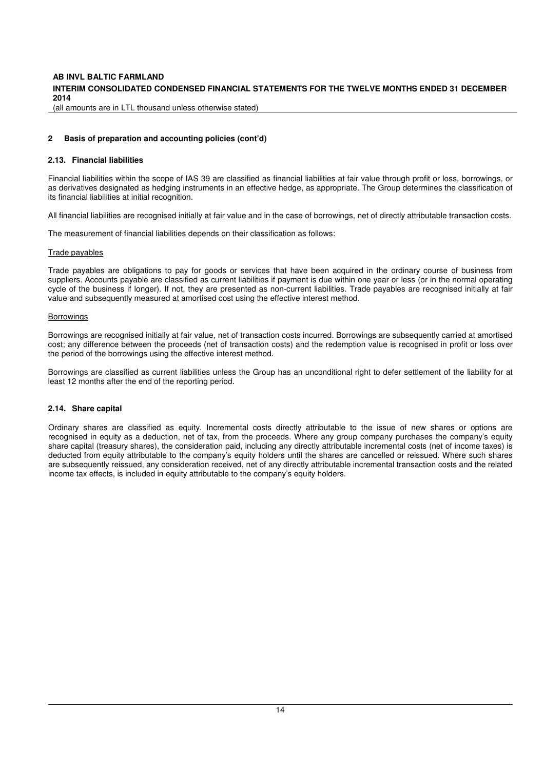# **INTERIM CONSOLIDATED CONDENSED FINANCIAL STATEMENTS FOR THE TWELVE MONTHS ENDED 31 DECEMBER 2014**

(all amounts are in LTL thousand unless otherwise stated)

#### **2 Basis of preparation and accounting policies (cont'd)**

#### **2.13. Financial liabilities**

Financial liabilities within the scope of IAS 39 are classified as financial liabilities at fair value through profit or loss, borrowings, or as derivatives designated as hedging instruments in an effective hedge, as appropriate. The Group determines the classification of its financial liabilities at initial recognition.

All financial liabilities are recognised initially at fair value and in the case of borrowings, net of directly attributable transaction costs.

The measurement of financial liabilities depends on their classification as follows:

#### Trade payables

Trade payables are obligations to pay for goods or services that have been acquired in the ordinary course of business from suppliers. Accounts payable are classified as current liabilities if payment is due within one year or less (or in the normal operating cycle of the business if longer). If not, they are presented as non-current liabilities. Trade payables are recognised initially at fair value and subsequently measured at amortised cost using the effective interest method.

#### Borrowings

Borrowings are recognised initially at fair value, net of transaction costs incurred. Borrowings are subsequently carried at amortised cost; any difference between the proceeds (net of transaction costs) and the redemption value is recognised in profit or loss over the period of the borrowings using the effective interest method.

Borrowings are classified as current liabilities unless the Group has an unconditional right to defer settlement of the liability for at least 12 months after the end of the reporting period.

#### **2.14. Share capital**

Ordinary shares are classified as equity. Incremental costs directly attributable to the issue of new shares or options are recognised in equity as a deduction, net of tax, from the proceeds. Where any group company purchases the company's equity share capital (treasury shares), the consideration paid, including any directly attributable incremental costs (net of income taxes) is deducted from equity attributable to the company's equity holders until the shares are cancelled or reissued. Where such shares are subsequently reissued, any consideration received, net of any directly attributable incremental transaction costs and the related income tax effects, is included in equity attributable to the company's equity holders.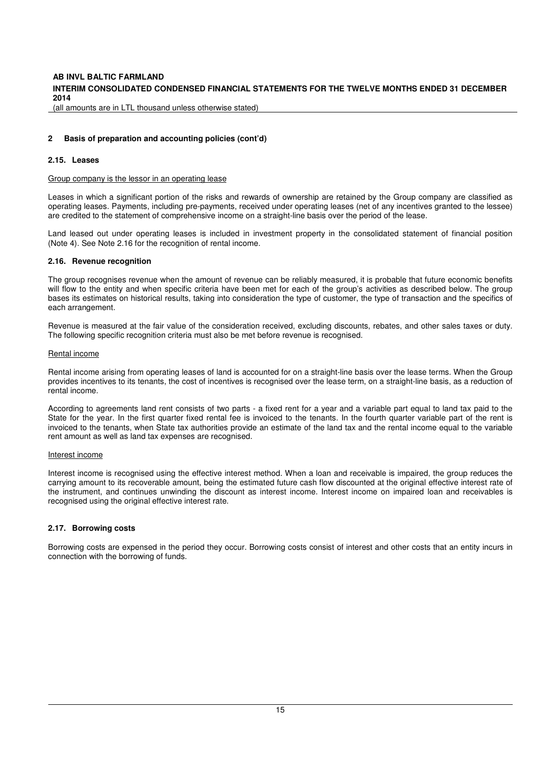# **INTERIM CONSOLIDATED CONDENSED FINANCIAL STATEMENTS FOR THE TWELVE MONTHS ENDED 31 DECEMBER 2014**

(all amounts are in LTL thousand unless otherwise stated)

#### **2 Basis of preparation and accounting policies (cont'd)**

#### **2.15. Leases**

#### Group company is the lessor in an operating lease

Leases in which a significant portion of the risks and rewards of ownership are retained by the Group company are classified as operating leases. Payments, including pre-payments, received under operating leases (net of any incentives granted to the lessee) are credited to the statement of comprehensive income on a straight-line basis over the period of the lease.

Land leased out under operating leases is included in investment property in the consolidated statement of financial position (Note 4). See Note 2.16 for the recognition of rental income.

#### **2.16. Revenue recognition**

The group recognises revenue when the amount of revenue can be reliably measured, it is probable that future economic benefits will flow to the entity and when specific criteria have been met for each of the group's activities as described below. The group bases its estimates on historical results, taking into consideration the type of customer, the type of transaction and the specifics of each arrangement.

Revenue is measured at the fair value of the consideration received, excluding discounts, rebates, and other sales taxes or duty. The following specific recognition criteria must also be met before revenue is recognised.

#### Rental income

Rental income arising from operating leases of land is accounted for on a straight-line basis over the lease terms. When the Group provides incentives to its tenants, the cost of incentives is recognised over the lease term, on a straight-line basis, as a reduction of rental income.

According to agreements land rent consists of two parts - a fixed rent for a year and a variable part equal to land tax paid to the State for the year. In the first quarter fixed rental fee is invoiced to the tenants. In the fourth quarter variable part of the rent is invoiced to the tenants, when State tax authorities provide an estimate of the land tax and the rental income equal to the variable rent amount as well as land tax expenses are recognised.

#### Interest income

Interest income is recognised using the effective interest method. When a loan and receivable is impaired, the group reduces the carrying amount to its recoverable amount, being the estimated future cash flow discounted at the original effective interest rate of the instrument, and continues unwinding the discount as interest income. Interest income on impaired loan and receivables is recognised using the original effective interest rate.

#### **2.17. Borrowing costs**

Borrowing costs are expensed in the period they occur. Borrowing costs consist of interest and other costs that an entity incurs in connection with the borrowing of funds.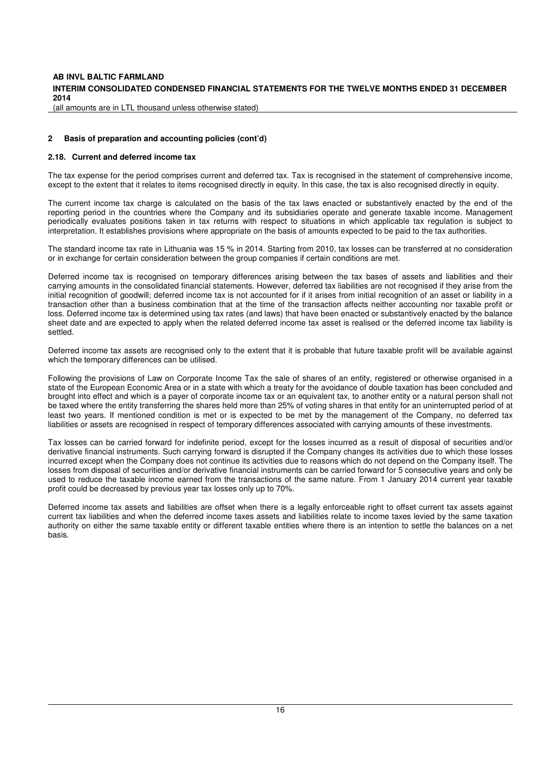# **INTERIM CONSOLIDATED CONDENSED FINANCIAL STATEMENTS FOR THE TWELVE MONTHS ENDED 31 DECEMBER 2014**

(all amounts are in LTL thousand unless otherwise stated)

#### **2 Basis of preparation and accounting policies (cont'd)**

#### **2.18. Current and deferred income tax**

The tax expense for the period comprises current and deferred tax. Tax is recognised in the statement of comprehensive income, except to the extent that it relates to items recognised directly in equity. In this case, the tax is also recognised directly in equity.

The current income tax charge is calculated on the basis of the tax laws enacted or substantively enacted by the end of the reporting period in the countries where the Company and its subsidiaries operate and generate taxable income. Management periodically evaluates positions taken in tax returns with respect to situations in which applicable tax regulation is subject to interpretation. It establishes provisions where appropriate on the basis of amounts expected to be paid to the tax authorities.

The standard income tax rate in Lithuania was 15 % in 2014. Starting from 2010, tax losses can be transferred at no consideration or in exchange for certain consideration between the group companies if certain conditions are met.

Deferred income tax is recognised on temporary differences arising between the tax bases of assets and liabilities and their carrying amounts in the consolidated financial statements. However, deferred tax liabilities are not recognised if they arise from the initial recognition of goodwill; deferred income tax is not accounted for if it arises from initial recognition of an asset or liability in a transaction other than a business combination that at the time of the transaction affects neither accounting nor taxable profit or loss. Deferred income tax is determined using tax rates (and laws) that have been enacted or substantively enacted by the balance sheet date and are expected to apply when the related deferred income tax asset is realised or the deferred income tax liability is settled.

Deferred income tax assets are recognised only to the extent that it is probable that future taxable profit will be available against which the temporary differences can be utilised.

Following the provisions of Law on Corporate Income Tax the sale of shares of an entity, registered or otherwise organised in a state of the European Economic Area or in a state with which a treaty for the avoidance of double taxation has been concluded and brought into effect and which is a payer of corporate income tax or an equivalent tax, to another entity or a natural person shall not be taxed where the entity transferring the shares held more than 25% of voting shares in that entity for an uninterrupted period of at least two years. If mentioned condition is met or is expected to be met by the management of the Company, no deferred tax liabilities or assets are recognised in respect of temporary differences associated with carrying amounts of these investments.

Tax losses can be carried forward for indefinite period, except for the losses incurred as a result of disposal of securities and/or derivative financial instruments. Such carrying forward is disrupted if the Company changes its activities due to which these losses incurred except when the Company does not continue its activities due to reasons which do not depend on the Company itself. The losses from disposal of securities and/or derivative financial instruments can be carried forward for 5 consecutive years and only be used to reduce the taxable income earned from the transactions of the same nature. From 1 January 2014 current year taxable profit could be decreased by previous year tax losses only up to 70%.

Deferred income tax assets and liabilities are offset when there is a legally enforceable right to offset current tax assets against current tax liabilities and when the deferred income taxes assets and liabilities relate to income taxes levied by the same taxation authority on either the same taxable entity or different taxable entities where there is an intention to settle the balances on a net basis.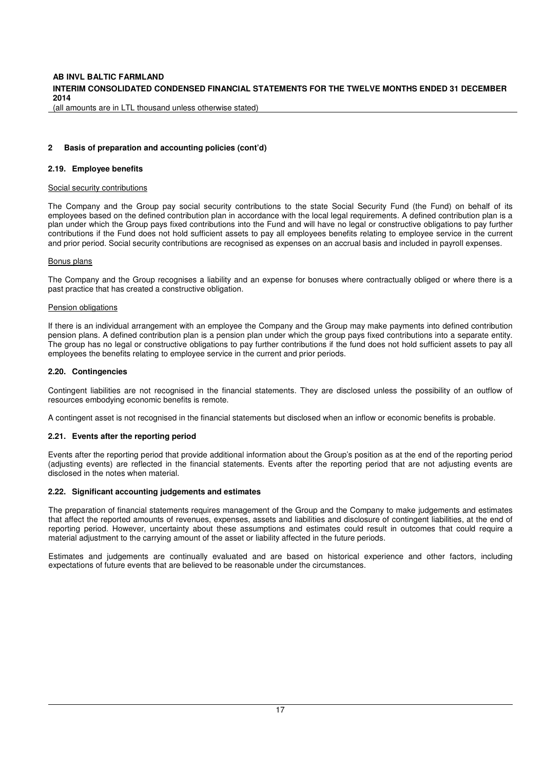# **INTERIM CONSOLIDATED CONDENSED FINANCIAL STATEMENTS FOR THE TWELVE MONTHS ENDED 31 DECEMBER 2014**

(all amounts are in LTL thousand unless otherwise stated)

#### **2 Basis of preparation and accounting policies (cont'd)**

#### **2.19. Employee benefits**

#### Social security contributions

The Company and the Group pay social security contributions to the state Social Security Fund (the Fund) on behalf of its employees based on the defined contribution plan in accordance with the local legal requirements. A defined contribution plan is a plan under which the Group pays fixed contributions into the Fund and will have no legal or constructive obligations to pay further contributions if the Fund does not hold sufficient assets to pay all employees benefits relating to employee service in the current and prior period. Social security contributions are recognised as expenses on an accrual basis and included in payroll expenses.

#### Bonus plans

The Company and the Group recognises a liability and an expense for bonuses where contractually obliged or where there is a past practice that has created a constructive obligation.

#### Pension obligations

If there is an individual arrangement with an employee the Company and the Group may make payments into defined contribution pension plans. A defined contribution plan is a pension plan under which the group pays fixed contributions into a separate entity. The group has no legal or constructive obligations to pay further contributions if the fund does not hold sufficient assets to pay all employees the benefits relating to employee service in the current and prior periods.

### **2.20. Contingencies**

Contingent liabilities are not recognised in the financial statements. They are disclosed unless the possibility of an outflow of resources embodying economic benefits is remote.

A contingent asset is not recognised in the financial statements but disclosed when an inflow or economic benefits is probable.

#### **2.21. Events after the reporting period**

Events after the reporting period that provide additional information about the Group's position as at the end of the reporting period (adjusting events) are reflected in the financial statements. Events after the reporting period that are not adjusting events are disclosed in the notes when material.

#### **2.22. Significant accounting judgements and estimates**

The preparation of financial statements requires management of the Group and the Company to make judgements and estimates that affect the reported amounts of revenues, expenses, assets and liabilities and disclosure of contingent liabilities, at the end of reporting period. However, uncertainty about these assumptions and estimates could result in outcomes that could require a material adjustment to the carrying amount of the asset or liability affected in the future periods.

Estimates and judgements are continually evaluated and are based on historical experience and other factors, including expectations of future events that are believed to be reasonable under the circumstances.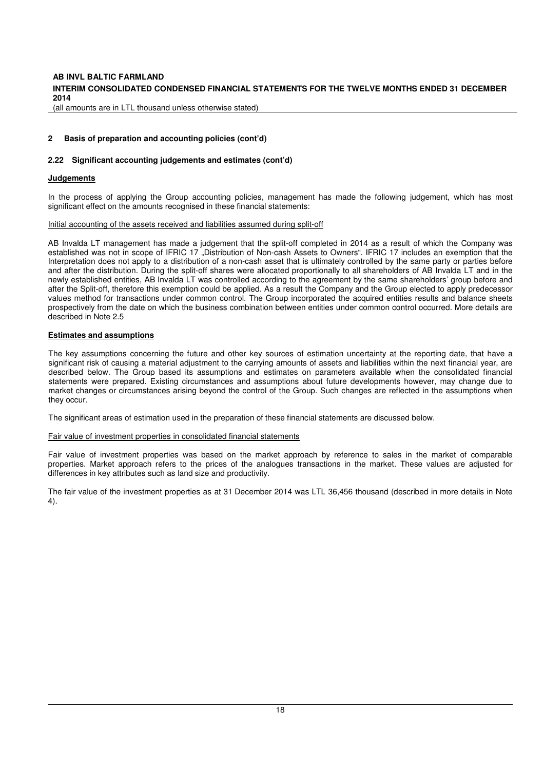# **INTERIM CONSOLIDATED CONDENSED FINANCIAL STATEMENTS FOR THE TWELVE MONTHS ENDED 31 DECEMBER 2014**

(all amounts are in LTL thousand unless otherwise stated)

#### **2 Basis of preparation and accounting policies (cont'd)**

# **2.22 Significant accounting judgements and estimates (cont'd)**

#### **Judgements**

In the process of applying the Group accounting policies, management has made the following judgement, which has most significant effect on the amounts recognised in these financial statements:

#### Initial accounting of the assets received and liabilities assumed during split-off

AB Invalda LT management has made a judgement that the split-off completed in 2014 as a result of which the Company was established was not in scope of IFRIC 17 "Distribution of Non-cash Assets to Owners". IFRIC 17 includes an exemption that the Interpretation does not apply to a distribution of a non-cash asset that is ultimately controlled by the same party or parties before and after the distribution. During the split-off shares were allocated proportionally to all shareholders of AB Invalda LT and in the newly established entities, AB Invalda LT was controlled according to the agreement by the same shareholders' group before and after the Split-off, therefore this exemption could be applied. As a result the Company and the Group elected to apply predecessor values method for transactions under common control. The Group incorporated the acquired entities results and balance sheets prospectively from the date on which the business combination between entities under common control occurred. More details are described in Note 2.5

#### **Estimates and assumptions**

The key assumptions concerning the future and other key sources of estimation uncertainty at the reporting date, that have a significant risk of causing a material adjustment to the carrying amounts of assets and liabilities within the next financial year, are described below. The Group based its assumptions and estimates on parameters available when the consolidated financial statements were prepared. Existing circumstances and assumptions about future developments however, may change due to market changes or circumstances arising beyond the control of the Group. Such changes are reflected in the assumptions when they occur.

The significant areas of estimation used in the preparation of these financial statements are discussed below.

#### Fair value of investment properties in consolidated financial statements

Fair value of investment properties was based on the market approach by reference to sales in the market of comparable properties. Market approach refers to the prices of the analogues transactions in the market. These values are adjusted for differences in key attributes such as land size and productivity.

The fair value of the investment properties as at 31 December 2014 was LTL 36,456 thousand (described in more details in Note 4).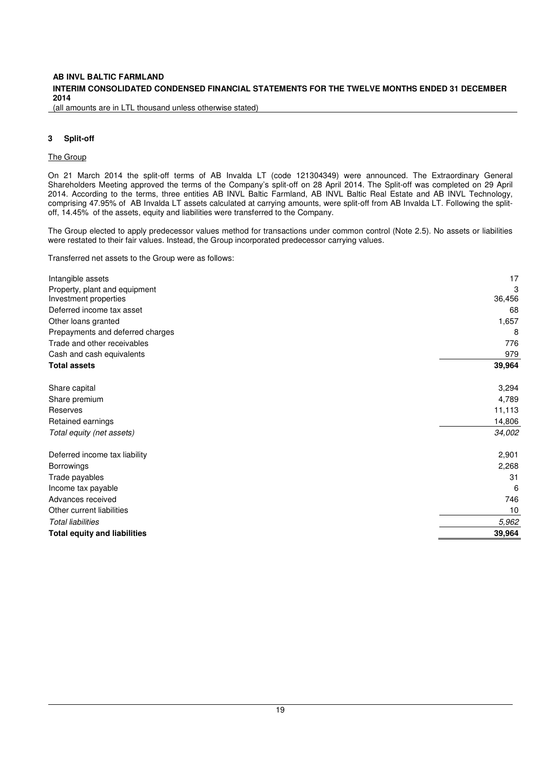# **INTERIM CONSOLIDATED CONDENSED FINANCIAL STATEMENTS FOR THE TWELVE MONTHS ENDED 31 DECEMBER 2014**

(all amounts are in LTL thousand unless otherwise stated)

#### **3 Split-off**

# The Group

On 21 March 2014 the split-off terms of AB Invalda LT (code 121304349) were announced. The Extraordinary General Shareholders Meeting approved the terms of the Company's split-off on 28 April 2014. The Split-off was completed on 29 April 2014. According to the terms, three entities AB INVL Baltic Farmland, AB INVL Baltic Real Estate and AB INVL Technology, comprising 47.95% of AB Invalda LT assets calculated at carrying amounts, were split-off from AB Invalda LT. Following the splitoff, 14.45% of the assets, equity and liabilities were transferred to the Company.

The Group elected to apply predecessor values method for transactions under common control (Note 2.5). No assets or liabilities were restated to their fair values. Instead, the Group incorporated predecessor carrying values.

Transferred net assets to the Group were as follows:

| Property, plant and equipment<br>Investment properties<br>Deferred income tax asset | 3<br>36,456<br>68<br>1,657 |
|-------------------------------------------------------------------------------------|----------------------------|
|                                                                                     |                            |
|                                                                                     |                            |
|                                                                                     |                            |
| Other loans granted                                                                 |                            |
| Prepayments and deferred charges                                                    | 8                          |
| Trade and other receivables                                                         | 776                        |
| Cash and cash equivalents                                                           | 979                        |
| <b>Total assets</b>                                                                 | 39,964                     |
| Share capital                                                                       | 3,294                      |
| Share premium                                                                       | 4,789                      |
| Reserves                                                                            | 11,113                     |
| Retained earnings                                                                   | 14,806                     |
| Total equity (net assets)                                                           | 34,002                     |
| Deferred income tax liability                                                       | 2,901                      |
| <b>Borrowings</b>                                                                   | 2,268                      |
| Trade payables                                                                      | 31                         |
| Income tax payable                                                                  | 6                          |
| Advances received                                                                   | 746                        |
| Other current liabilities                                                           | 10                         |
| <b>Total liabilities</b>                                                            | 5,962                      |
| <b>Total equity and liabilities</b>                                                 | 39,964                     |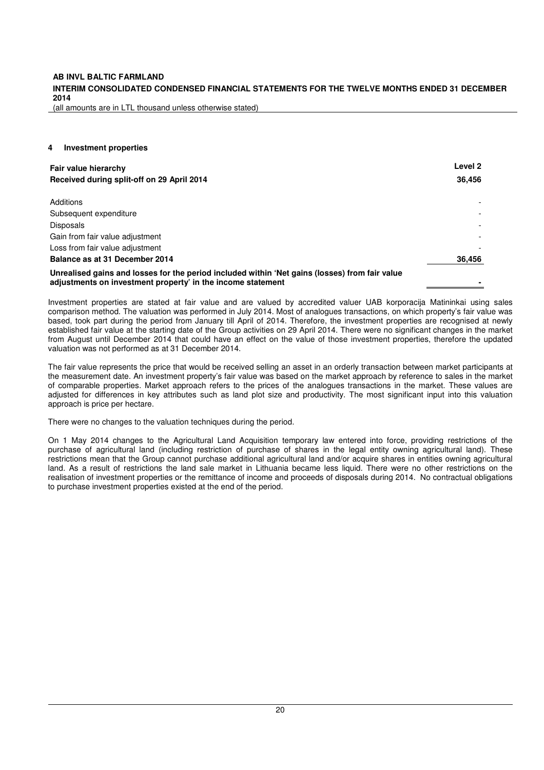(all amounts are in LTL thousand unless otherwise stated)

### **4 Investment properties**

| Fair value hierarchy                                                                                                                                          | Level 2 |  |  |
|---------------------------------------------------------------------------------------------------------------------------------------------------------------|---------|--|--|
| Received during split-off on 29 April 2014                                                                                                                    | 36,456  |  |  |
| Additions                                                                                                                                                     |         |  |  |
| Subsequent expenditure                                                                                                                                        |         |  |  |
| <b>Disposals</b>                                                                                                                                              |         |  |  |
| Gain from fair value adjustment                                                                                                                               |         |  |  |
| Loss from fair value adjustment                                                                                                                               |         |  |  |
| Balance as at 31 December 2014                                                                                                                                | 36,456  |  |  |
| Unrealised gains and losses for the period included within 'Net gains (losses) from fair value<br>adjustments on investment property' in the income statement |         |  |  |

Investment properties are stated at fair value and are valued by accredited valuer UAB korporacija Matininkai using sales comparison method. The valuation was performed in July 2014. Most of analogues transactions, on which property's fair value was based, took part during the period from January till April of 2014. Therefore, the investment properties are recognised at newly established fair value at the starting date of the Group activities on 29 April 2014. There were no significant changes in the market from August until December 2014 that could have an effect on the value of those investment properties, therefore the updated valuation was not performed as at 31 December 2014.

The fair value represents the price that would be received selling an asset in an orderly transaction between market participants at the measurement date. An investment property's fair value was based on the market approach by reference to sales in the market of comparable properties. Market approach refers to the prices of the analogues transactions in the market. These values are adjusted for differences in key attributes such as land plot size and productivity. The most significant input into this valuation approach is price per hectare.

There were no changes to the valuation techniques during the period.

On 1 May 2014 changes to the Agricultural Land Acquisition temporary law entered into force, providing restrictions of the purchase of agricultural land (including restriction of purchase of shares in the legal entity owning agricultural land). These restrictions mean that the Group cannot purchase additional agricultural land and/or acquire shares in entities owning agricultural land. As a result of restrictions the land sale market in Lithuania became less liquid. There were no other restrictions on the realisation of investment properties or the remittance of income and proceeds of disposals during 2014. No contractual obligations to purchase investment properties existed at the end of the period.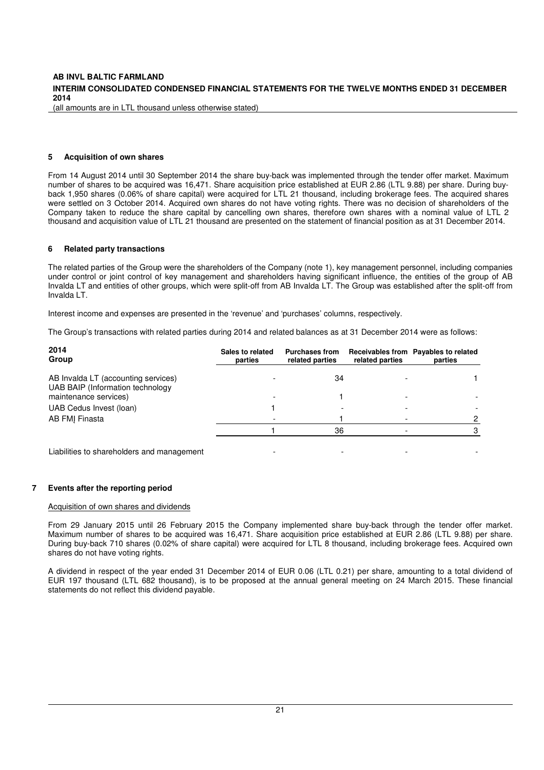(all amounts are in LTL thousand unless otherwise stated)

#### **5 Acquisition of own shares**

From 14 August 2014 until 30 September 2014 the share buy-back was implemented through the tender offer market. Maximum number of shares to be acquired was 16,471. Share acquisition price established at EUR 2.86 (LTL 9.88) per share. During buyback 1,950 shares (0.06% of share capital) were acquired for LTL 21 thousand, including brokerage fees. The acquired shares were settled on 3 October 2014. Acquired own shares do not have voting rights. There was no decision of shareholders of the Company taken to reduce the share capital by cancelling own shares, therefore own shares with a nominal value of LTL 2 thousand and acquisition value of LTL 21 thousand are presented on the statement of financial position as at 31 December 2014.

#### **6 Related party transactions**

The related parties of the Group were the shareholders of the Company (note 1), key management personnel, including companies under control or joint control of key management and shareholders having significant influence, the entities of the group of AB Invalda LT and entities of other groups, which were split-off from AB Invalda LT. The Group was established after the split-off from Invalda LT.

Interest income and expenses are presented in the 'revenue' and 'purchases' columns, respectively.

The Group's transactions with related parties during 2014 and related balances as at 31 December 2014 were as follows:

| 2014<br>Group                                                           | Sales to related<br>parties | <b>Purchases from</b><br>related parties | related parties | Receivables from Payables to related<br>parties |
|-------------------------------------------------------------------------|-----------------------------|------------------------------------------|-----------------|-------------------------------------------------|
| AB Invalda LT (accounting services)<br>UAB BAIP (Information technology |                             | 34                                       |                 |                                                 |
| maintenance services)                                                   |                             |                                          |                 |                                                 |
| UAB Cedus Invest (Ioan)                                                 |                             |                                          |                 |                                                 |
| AB FMI Finasta                                                          |                             |                                          |                 |                                                 |
|                                                                         |                             | 36                                       |                 |                                                 |
| Liabilities to shareholders and management                              |                             |                                          |                 |                                                 |

#### **7 Events after the reporting period**

#### Acquisition of own shares and dividends

From 29 January 2015 until 26 February 2015 the Company implemented share buy-back through the tender offer market. Maximum number of shares to be acquired was 16,471. Share acquisition price established at EUR 2.86 (LTL 9.88) per share. During buy-back 710 shares (0.02% of share capital) were acquired for LTL 8 thousand, including brokerage fees. Acquired own shares do not have voting rights.

A dividend in respect of the year ended 31 December 2014 of EUR 0.06 (LTL 0.21) per share, amounting to a total dividend of EUR 197 thousand (LTL 682 thousand), is to be proposed at the annual general meeting on 24 March 2015. These financial statements do not reflect this dividend payable.